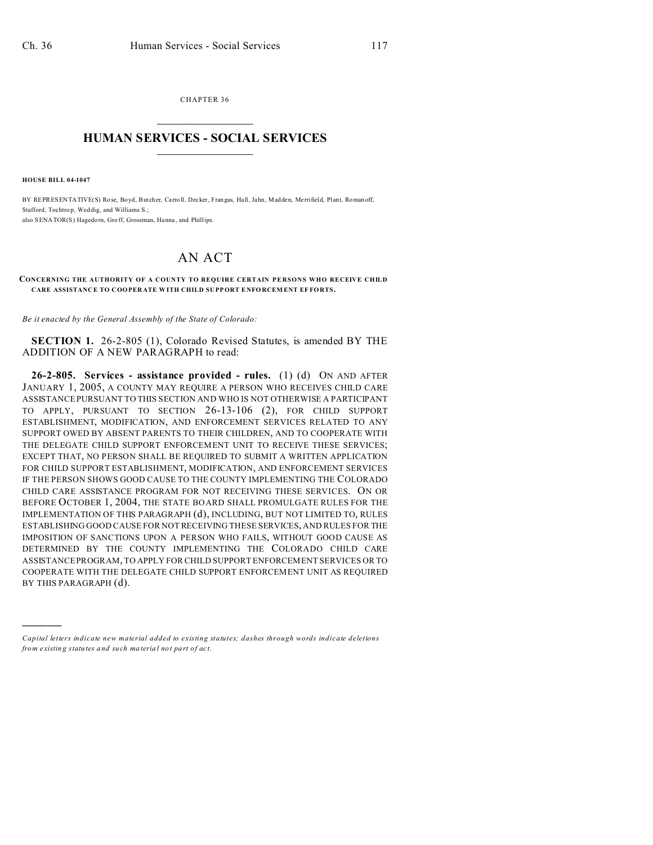CHAPTER 36  $\overline{\phantom{a}}$  , where  $\overline{\phantom{a}}$ 

## **HUMAN SERVICES - SOCIAL SERVICES**  $\frac{1}{2}$  ,  $\frac{1}{2}$  ,  $\frac{1}{2}$  ,  $\frac{1}{2}$  ,  $\frac{1}{2}$  ,  $\frac{1}{2}$

**HOUSE BILL 04-1047**

)))))

BY REPRESENTATIVE(S) Rose, Boyd, But cher, Carro ll, Decker, Fran gas, Hall, Jahn , Madden, Me rrifield, Plant, Roman off, Stafford, Tochtrop, Weddig, and Williams S.; also SENATOR(S) Hagedorn, Gro ff, Grossman, Hanna , and Phillips.

## AN ACT

## **CONCERNING THE AUTHORITY OF A COUNTY TO REQUIRE CERTAIN PERSONS WHO RECEIVE CHILD CARE ASSISTANC E TO COOPER ATE WITH CHILD SU PP ORT E NFO RCEM ENT EF FORTS.**

*Be it enacted by the General Assembly of the State of Colorado:*

**SECTION 1.** 26-2-805 (1), Colorado Revised Statutes, is amended BY THE ADDITION OF A NEW PARAGRAPH to read:

**26-2-805. Services - assistance provided - rules.** (1) (d) ON AND AFTER JANUARY 1, 2005, A COUNTY MAY REQUIRE A PERSON WHO RECEIVES CHILD CARE ASSISTANCE PURSUANT TO THIS SECTION AND WHO IS NOT OTHERWISE A PARTICIPANT TO APPLY, PURSUANT TO SECTION 26-13-106 (2), FOR CHILD SUPPORT ESTABLISHMENT, MODIFICATION, AND ENFORCEMENT SERVICES RELATED TO ANY SUPPORT OWED BY ABSENT PARENTS TO THEIR CHILDREN, AND TO COOPERATE WITH THE DELEGATE CHILD SUPPORT ENFORCEMENT UNIT TO RECEIVE THESE SERVICES; EXCEPT THAT, NO PERSON SHALL BE REQUIRED TO SUBMIT A WRITTEN APPLICATION FOR CHILD SUPPORT ESTABLISHMENT, MODIFICATION, AND ENFORCEMENT SERVICES IF THE PERSON SHOWS GOOD CAUSE TO THE COUNTY IMPLEMENTING THE COLORADO CHILD CARE ASSISTANCE PROGRAM FOR NOT RECEIVING THESE SERVICES. ON OR BEFORE OCTOBER 1, 2004, THE STATE BOARD SHALL PROMULGATE RULES FOR THE IMPLEMENTATION OF THIS PARAGRAPH (d), INCLUDING, BUT NOT LIMITED TO, RULES ESTABLISHING GOOD CAUSE FOR NOT RECEIVING THESE SERVICES, AND RULES FOR THE IMPOSITION OF SANCTIONS UPON A PERSON WHO FAILS, WITHOUT GOOD CAUSE AS DETERMINED BY THE COUNTY IMPLEMENTING THE COLORADO CHILD CARE ASSISTANCE PROGRAM, TO APPLY FOR CHILD SUPPORT ENFORCEMENT SERVICES OR TO COOPERATE WITH THE DELEGATE CHILD SUPPORT ENFORCEMENT UNIT AS REQUIRED BY THIS PARAGRAPH (d).

*Capital letters indicate new material added to existing statutes; dashes through words indicate deletions from e xistin g statu tes a nd such ma teria l no t pa rt of ac t.*